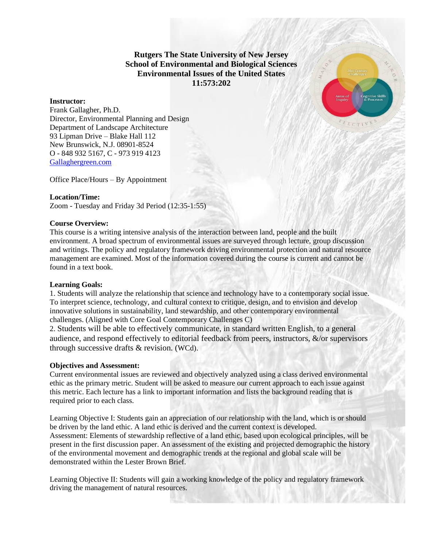**Rutgers The State University of New Jersey School of Environmental and Biological Sciences Environmental Issues of the United States 11:573:202**

## **Instructor:**

Frank Gallagher, Ph.D. Director, Environmental Planning and Design Department of Landscape Architecture 93 Lipman Drive – Blake Hall 112 New Brunswick, N.J. 08901-8524 O - 848 932 5167, C - 973 919 4123 [Gallaghergreen.com](file:///C:/Users/ellen/Dropbox/Classes/Env%20Issues/Syll%20and%20Assesment/Gallaghergreen.com)

Office Place/Hours – By Appointment

## **Location/Time:**

Zoom - Tuesday and Friday 3d Period (12:35-1:55)

#### **Course Overview:**

This course is a writing intensive analysis of the interaction between land, people and the built environment. A broad spectrum of environmental issues are surveyed through lecture, group discussion and writings. The policy and regulatory framework driving environmental protection and natural resource management are examined. Most of the information covered during the course is current and cannot be found in a text book.

#### **Learning Goals:**

1. Students will analyze the relationship that science and technology have to a contemporary social issue. To interpret science, technology, and cultural context to critique, design, and to envision and develop innovative solutions in sustainability, land stewardship, and other contemporary environmental challenges. (Aligned with Core Goal Contemporary Challenges C)

2. Students will be able to effectively communicate, in standard written English, to a general audience, and respond effectively to editorial feedback from peers, instructors, &/or supervisors through successive drafts & revision. (WCd).

#### **Objectives and Assessment:**

Current environmental issues are reviewed and objectively analyzed using a class derived environmental ethic as the primary metric. Student will be asked to measure our current approach to each issue against this metric. Each lecture has a link to important information and lists the background reading that is required prior to each class.

Learning Objective I: Students gain an appreciation of our relationship with the land, which is or should be driven by the land ethic. A land ethic is derived and the current context is developed. Assessment: Elements of stewardship reflective of a land ethic, based upon ecological principles, will be present in the first discussion paper. An assessment of the existing and projected demographic the history of the environmental movement and demographic trends at the regional and global scale will be demonstrated within the Lester Brown Brief.

Learning Objective II: Students will gain a working knowledge of the policy and regulatory framework driving the management of natural resources.

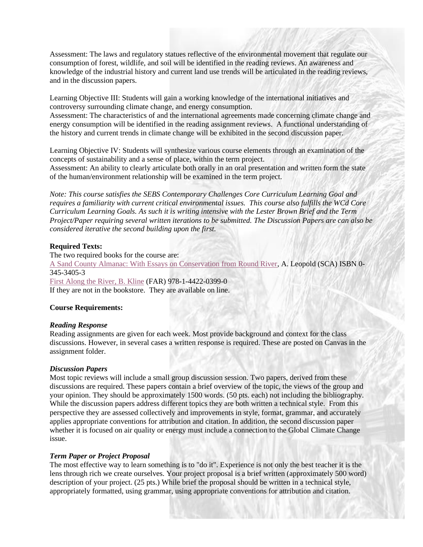Assessment: The laws and regulatory statues reflective of the environmental movement that regulate our consumption of forest, wildlife, and soil will be identified in the reading reviews. An awareness and knowledge of the industrial history and current land use trends will be articulated in the reading reviews, and in the discussion papers.

Learning Objective III: Students will gain a working knowledge of the international initiatives and controversy surrounding climate change, and energy consumption.

Assessment: The characteristics of and the international agreements made concerning climate change and energy consumption will be identified in the reading assignment reviews. A functional understanding of the history and current trends in climate change will be exhibited in the second discussion paper.

Learning Objective IV: Students will synthesize various course elements through an examination of the concepts of sustainability and a sense of place, within the term project.

Assessment: An ability to clearly articulate both orally in an oral presentation and written form the state of the human/environment relationship will be examined in the term project.

*Note: This course satisfies the SEBS Contemporary Challenges Core Curriculum Learning Goal and requires a familiarity with current critical environmental issues. This course also fulfills the WCd Core Curriculum Learning Goals. As such it is writing intensive with the Lester Brown Brief and the Term Project/Paper requiring several written iterations to be submitted. The Discussion Papers are can also be considered iterative the second building upon the first.* 

## **Required Texts:**

The two required books for the course are: [A Sand County Almanac: With Essays on Conservation from Round River,](http://www.amazon.com/County-Almanac-Outdoor-Essays-Reflections/dp/0345345053/ref=sr_1_1?ie=UTF8&qid=1451855484&sr=8-1&keywords=SAND+COUNTY+ALMANAC+rOUND+rIVER) A. Leopold (SCA) ISBN 0- 345-3405-3 [First Along the River, B. Kline](http://www.amazon.com/First-Along-River-Environmental-Movement/dp/1442203994) (FAR) 978-1-4422-0399-0 If they are not in the bookstore. They are available on line.

#### **Course Requirements:**

#### *Reading Response*

Reading assignments are given for each week. Most provide background and context for the class discussions. However, in several cases a written response is required. These are posted on Canvas in the assignment folder.

#### *Discussion Papers*

Most topic reviews will include a small group discussion session. Two papers, derived from these discussions are required. These papers contain a brief overview of the topic, the views of the group and your opinion. They should be approximately 1500 words. (50 pts. each) not including the bibliography. While the discussion papers address different topics they are both written a technical style. From this perspective they are assessed collectively and improvements in style, format, grammar, and accurately applies appropriate conventions for attribution and citation. In addition, the second discussion paper whether it is focused on air quality or energy must include a connection to the Global Climate Change issue.

## *Term Paper or Project Proposal*

The most effective way to learn something is to "do it". Experience is not only the best teacher it is the lens through rich we create ourselves. Your project proposal is a brief written (approximately 500 word) description of your project. (25 pts.) While brief the proposal should be written in a technical style, appropriately formatted, using grammar, using appropriate conventions for attribution and citation.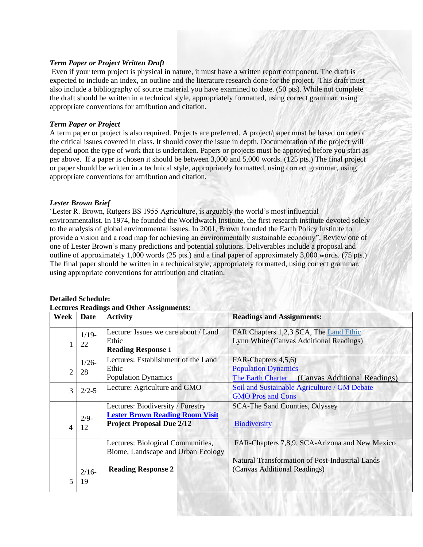## *Term Paper or Project Written Draft*

Even if your term project is physical in nature, it must have a written report component. The draft is expected to include an index, an outline and the literature research done for the project. This draft must also include a bibliography of source material you have examined to date. (50 pts). While not complete the draft should be written in a technical style, appropriately formatted, using correct grammar, using appropriate conventions for attribution and citation.

## *Term Paper or Project*

A term paper or project is also required. Projects are preferred. A project/paper must be based on one of the critical issues covered in class. It should cover the issue in depth. Documentation of the project will depend upon the type of work that is undertaken. Papers or projects must be approved before you start as per above. If a paper is chosen it should be between 3,000 and 5,000 words. (125 pts.) The final project or paper should be written in a technical style, appropriately formatted, using correct grammar, using appropriate conventions for attribution and citation.

## *Lester Brown Brief*

'Lester R. Brown, Rutgers BS 1955 Agriculture, is arguably the world's most influential environmentalist. In 1974, he founded the Worldwatch Institute, the first research institute devoted solely to the analysis of global environmental issues. In 2001, Brown founded the Earth Policy Institute to provide a vision and a road map for achieving an environmentally sustainable economy". Review one of one of Lester Brown's many predictions and potential solutions. Deliverables include a proposal and outline of approximately 1,000 words (25 pts.) and a final paper of approximately 3,000 words. (75 pts.) The final paper should be written in a technical style, appropriately formatted, using correct grammar, using appropriate conventions for attribution and citation.

| <b>Lectures Readings and Other Assignments:</b> |                |                                                                                                                 |                                                                                                                                   |  |  |  |  |
|-------------------------------------------------|----------------|-----------------------------------------------------------------------------------------------------------------|-----------------------------------------------------------------------------------------------------------------------------------|--|--|--|--|
| Week                                            | <b>Date</b>    | <b>Activity</b>                                                                                                 | <b>Readings and Assignments:</b>                                                                                                  |  |  |  |  |
| 1                                               | $1/19-$<br>22  | Lecture: Issues we care about / Land<br>Ethic<br><b>Reading Response 1</b>                                      | FAR Chapters 1,2,3 SCA, The Land Ethic.<br>Lynn White (Canvas Additional Readings)                                                |  |  |  |  |
| $\overline{2}$                                  | $1/26 -$<br>28 | Lectures: Establishment of the Land<br>Ethic<br><b>Population Dynamics</b>                                      | FAR-Chapters 4,5,6)<br><b>Population Dynamics</b><br>(Canvas Additional Readings)<br>The Earth Charter                            |  |  |  |  |
| 3                                               | $2/2 - 5$      | Lecture: Agriculture and GMO                                                                                    | Soil and Sustainable Agriculture / GM Debate<br><b>GMO Pros and Cons</b>                                                          |  |  |  |  |
| 4                                               | $2/9-$<br>12   | Lectures: Biodiversity / Forestry<br><b>Lester Brown Reading Room Visit</b><br><b>Project Proposal Due 2/12</b> | <b>SCA-The Sand Counties, Odyssey</b><br>Biodiversity                                                                             |  |  |  |  |
|                                                 | $2/16-$        | Lectures: Biological Communities,<br>Biome, Landscape and Urban Ecology<br><b>Reading Response 2</b>            | FAR-Chapters 7,8,9. SCA-Arizona and New Mexico<br>Natural Transformation of Post-Industrial Lands<br>(Canvas Additional Readings) |  |  |  |  |
| 5                                               | 19             |                                                                                                                 |                                                                                                                                   |  |  |  |  |

#### **Detailed Schedule:**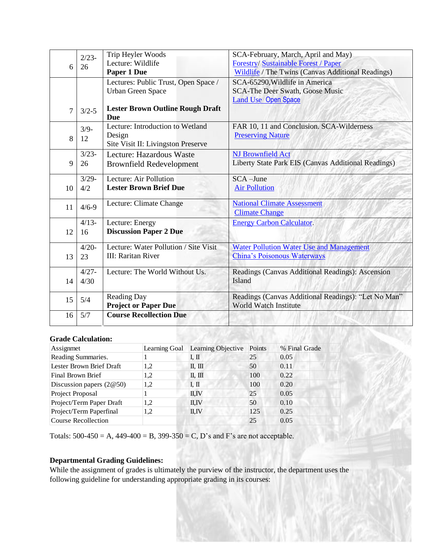| 6              | $2/23-$<br>26 | Trip Heyler Woods<br>Lecture: Wildlife                           | SCA-February, March, April and May)<br><b>Forestry/Sustainable Forest / Paper</b>          |
|----------------|---------------|------------------------------------------------------------------|--------------------------------------------------------------------------------------------|
|                |               | Paper 1 Due                                                      | <b>Wildlife</b> / The Twins (Canvas Additional Readings)<br>SCA-65290, Wildlife in America |
|                |               | Lectures: Public Trust, Open Space /<br><b>Urban Green Space</b> | <b>SCA-The Deer Swath, Goose Music</b>                                                     |
|                |               |                                                                  | <b>Land Use Open Space</b>                                                                 |
| $\overline{7}$ | $3/2 - 5$     | <b>Lester Brown Outline Rough Draft</b>                          |                                                                                            |
|                |               | Due                                                              |                                                                                            |
|                | $3/9-$        | Lecture: Introduction to Wetland                                 | FAR 10, 11 and Conclusion. SCA-Wilderness                                                  |
| 8              | 12            | Design                                                           | <b>Preserving Nature</b>                                                                   |
|                |               | Site Visit II: Livingston Preserve                               |                                                                                            |
|                | $3/23-$       | Lecture: Hazardous Waste                                         | <b>NJ Brownfield Act</b>                                                                   |
| 9              | 26            | <b>Brownfield Redevelopment</b>                                  | Liberty State Park EIS (Canvas Additional Readings)                                        |
|                | $3/29 -$      | Lecture: Air Pollution                                           | $SCA$ -June                                                                                |
| 10             | 4/2           | <b>Lester Brown Brief Due</b>                                    | <b>Air Pollution</b>                                                                       |
|                |               | Lecture: Climate Change                                          | <b>National Climate Assessment</b>                                                         |
| 11             | $4/6 - 9$     |                                                                  | <b>Climate Change</b>                                                                      |
|                | $4/13-$       | Lecture: Energy                                                  | <b>Energy Carbon Calculator.</b>                                                           |
| 12             | 16            | <b>Discussion Paper 2 Due</b>                                    |                                                                                            |
|                |               |                                                                  |                                                                                            |
|                | $4/20-$       | Lecture: Water Pollution / Site Visit                            | <b>Water Pollution Water Use and Management</b>                                            |
| 13             | 23            | <b>III: Raritan River</b>                                        | <b>China's Poisonous Waterways</b>                                                         |
|                | $4/27 -$      | Lecture: The World Without Us.                                   | Readings (Canvas Additional Readings): Ascension                                           |
| 14             | 4/30          |                                                                  | Island                                                                                     |
|                |               |                                                                  |                                                                                            |
| 15             | 5/4           | Reading Day                                                      | Readings (Canvas Additional Readings): "Let No Man"                                        |
|                |               | <b>Project or Paper Due</b>                                      | World Watch Institute                                                                      |
| 16             | 5/7           | <b>Course Recollection Due</b>                                   |                                                                                            |
|                |               |                                                                  |                                                                                            |

## **Grade Calculation:**

| Assignmet                  | Learning Goal | Learning Objective             | Points | % Final Grade |
|----------------------------|---------------|--------------------------------|--------|---------------|
| Reading Summaries.         |               | IП                             | 25     | 0.05          |
| Lester Brown Brief Draft   | 1,2           | $\mathbb{I}$ , $\mathbb{II}$   | 50     | 0.11          |
| Final Brown Brief          | 1.2           | $\mathbb{II}$ , $\mathbb{III}$ | 100    | 0.22          |
| Discussion papers $(2@50)$ | 1.2           | I. II                          | 100    | 0.20          |
| Project Proposal           |               | II,IV                          | 25     | 0.05          |
| Project/Term Paper Draft   | 1,2           | II,IV                          | 50     | 0.10          |
| Project/Term Paperfinal    | 1,2           | II.IV                          | 125    | 0.25          |
| Course Recollection        |               |                                | 25     | 0.05          |

Totals:  $500-450 = A$ ,  $449-400 = B$ ,  $399-350 = C$ , D's and F's are not acceptable.

# **Departmental Grading Guidelines:**

While the assignment of grades is ultimately the purview of the instructor, the department uses the following guideline for understanding appropriate grading in its courses: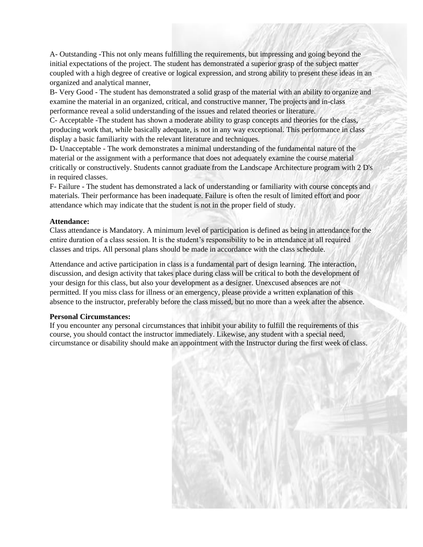A- Outstanding -This not only means fulfilling the requirements, but impressing and going beyond the initial expectations of the project. The student has demonstrated a superior grasp of the subject matter coupled with a high degree of creative or logical expression, and strong ability to present these ideas in an organized and analytical manner,

B- Very Good - The student has demonstrated a solid grasp of the material with an ability to organize and examine the material in an organized, critical, and constructive manner, The projects and in-class performance reveal a solid understanding of the issues and related theories or literature.

C- Acceptable -The student has shown a moderate ability to grasp concepts and theories for the class, producing work that, while basically adequate, is not in any way exceptional. This performance in class display a basic familiarity with the relevant literature and techniques.

D- Unacceptable - The work demonstrates a minimal understanding of the fundamental nature of the material or the assignment with a performance that does not adequately examine the course material critically or constructively. Students cannot graduate from the Landscape Architecture program with 2 D's in required classes.

F- Failure - The student has demonstrated a lack of understanding or familiarity with course concepts and materials. Their performance has been inadequate. Failure is often the result of limited effort and poor attendance which may indicate that the student is not in the proper field of study.

## **Attendance:**

Class attendance is Mandatory. A minimum level of participation is defined as being in attendance for the entire duration of a class session. It is the student's responsibility to be in attendance at all required classes and trips. All personal plans should be made in accordance with the class schedule.

Attendance and active participation in class is a fundamental part of design learning. The interaction, discussion, and design activity that takes place during class will be critical to both the development of your design for this class, but also your development as a designer. Unexcused absences are not permitted. If you miss class for illness or an emergency, please provide a written explanation of this absence to the instructor, preferably before the class missed, but no more than a week after the absence.

#### **Personal Circumstances:**

If you encounter any personal circumstances that inhibit your ability to fulfill the requirements of this course, you should contact the instructor immediately. Likewise, any student with a special need, circumstance or disability should make an appointment with the Instructor during the first week of class.